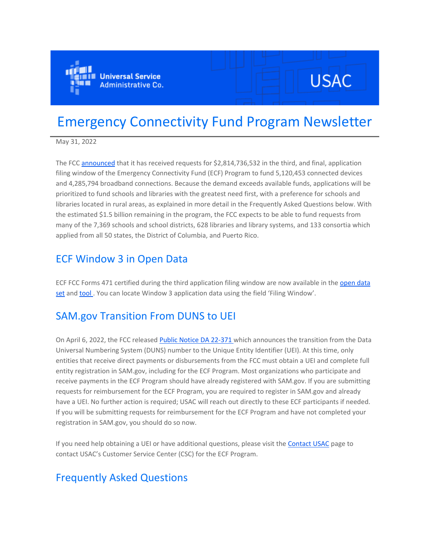

# **USAC**

## Emergency Connectivity Fund Program Newsletter

May 31, 2022

The FCC [announced](https://click.outreach.usac.org/?qs=7ac06b1938fe104b30cd3cdd7704d61bc1b6366534048b2aa85506a63f10767a9e6981892215bdc093f56c38a151ec1c774dfbadf677678d) that it has received requests for \$2,814,736,532 in the third, and final, application filing window of the Emergency Connectivity Fund (ECF) Program to fund 5,120,453 connected devices and 4,285,794 broadband connections. Because the demand exceeds available funds, applications will be prioritized to fund schools and libraries with the greatest need first, with a preference for schools and libraries located in rural areas, as explained in more detail in the Frequently Asked Questions below. With the estimated \$1.5 billion remaining in the program, the FCC expects to be able to fund requests from many of the 7,369 schools and school districts, 628 libraries and library systems, and 133 consortia which applied from all 50 states, the District of Columbia, and Puerto Rico.

### ECF Window 3 in Open Data

ECF FCC Forms 471 certified during the third application filing window are now available in the [open data](https://click.outreach.usac.org/?qs=7ac06b1938fe104bf7c73e1be40dd52b6248a1d9b2f63d6a73ee6c25cffd7b52f00a35a5230c5d4aaf41c052370c32e50c0f58524e6a7409)  [set](https://click.outreach.usac.org/?qs=7ac06b1938fe104bf7c73e1be40dd52b6248a1d9b2f63d6a73ee6c25cffd7b52f00a35a5230c5d4aaf41c052370c32e50c0f58524e6a7409) and tool. You can locate Window 3 application data using the field 'Filing Window'.

## SAM.gov Transition From DUNS to UEI

On April 6, 2022, the FCC released [Public Notice DA 22-371 w](https://click.outreach.usac.org/?qs=7ac06b1938fe104b8c6ac3599433d87f503a9a9e0376fb41ae91f1291621f7eb37f469fb9067eb84cad12282670ecbb49c3eb1f907b7f03e)hich announces the transition from the Data Universal Numbering System (DUNS) number to the Unique Entity Identifier (UEI). At this time, only entities that receive direct payments or disbursements from the FCC must obtain a UEI and complete full entity registration in SAM.gov, including for the ECF Program. Most organizations who participate and receive payments in the ECF Program should have already registered with SAM.gov. If you are submitting requests for reimbursement for the ECF Program, you are required to register in SAM.gov and already have a UEI. No further action is required; USAC will reach out directly to these ECF participants if needed. If you will be submitting requests for reimbursement for the ECF Program and have not completed your registration in SAM.gov, you should do so now.

If you need help obtaining a UEI or have additional questions, please visit the [Contact USAC](https://click.outreach.usac.org/?qs=7ac06b1938fe104b8f445f13fe0f06a000032ef7fcd9b87f1e5a81e758a2edb8f653190b8255c0709ff6a532c08a2093863035b6834a9036) page to contact USAC's Customer Service Center (CSC) for the ECF Program.

## Frequently Asked Questions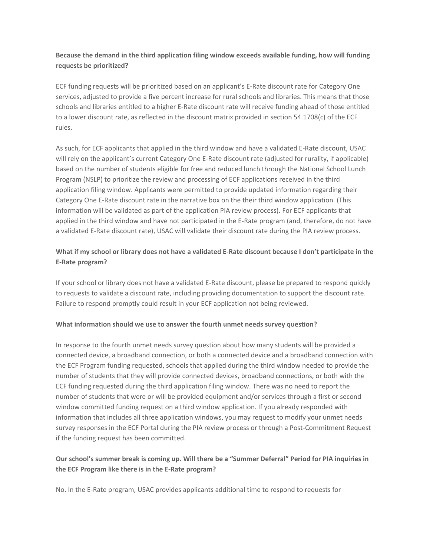#### **Because the demand in the third application filing window exceeds available funding, how will funding requests be prioritized?**

ECF funding requests will be prioritized based on an applicant's E-Rate discount rate for Category One services, adjusted to provide a five percent increase for rural schools and libraries. This means that those schools and libraries entitled to a higher E-Rate discount rate will receive funding ahead of those entitled to a lower discount rate, as reflected in the discount matrix provided in section 54.1708(c) of the ECF rules.

As such, for ECF applicants that applied in the third window and have a validated E-Rate discount, USAC will rely on the applicant's current Category One E-Rate discount rate (adjusted for rurality, if applicable) based on the number of students eligible for free and reduced lunch through the National School Lunch Program (NSLP) to prioritize the review and processing of ECF applications received in the third application filing window. Applicants were permitted to provide updated information regarding their Category One E-Rate discount rate in the narrative box on the their third window application. (This information will be validated as part of the application PIA review process). For ECF applicants that applied in the third window and have not participated in the E-Rate program (and, therefore, do not have a validated E-Rate discount rate), USAC will validate their discount rate during the PIA review process.

#### **What if my school or library does not have a validated E-Rate discount because I don't participate in the E-Rate program?**

If your school or library does not have a validated E-Rate discount, please be prepared to respond quickly to requests to validate a discount rate, including providing documentation to support the discount rate. Failure to respond promptly could result in your ECF application not being reviewed.

#### **What information should we use to answer the fourth unmet needs survey question?**

In response to the fourth unmet needs survey question about how many students will be provided a connected device, a broadband connection, or both a connected device and a broadband connection with the ECF Program funding requested, schools that applied during the third window needed to provide the number of students that they will provide connected devices, broadband connections, or both with the ECF funding requested during the third application filing window. There was no need to report the number of students that were or will be provided equipment and/or services through a first or second window committed funding request on a third window application. If you already responded with information that includes all three application windows, you may request to modify your unmet needs survey responses in the ECF Portal during the PIA review process or through a Post-Commitment Request if the funding request has been committed.

#### **Our school's summer break is coming up. Will there be a "Summer Deferral" Period for PIA inquiries in the ECF Program like there is in the E-Rate program?**

No. In the E-Rate program, USAC provides applicants additional time to respond to requests for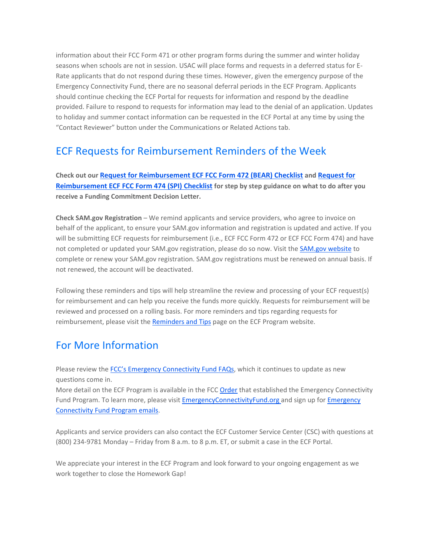information about their FCC Form 471 or other program forms during the summer and winter holiday seasons when schools are not in session. USAC will place forms and requests in a deferred status for E-Rate applicants that do not respond during these times. However, given the emergency purpose of the Emergency Connectivity Fund, there are no seasonal deferral periods in the ECF Program. Applicants should continue checking the ECF Portal for requests for information and respond by the deadline provided. Failure to respond to requests for information may lead to the denial of an application. Updates to holiday and summer contact information can be requested in the ECF Portal at any time by using the "Contact Reviewer" button under the Communications or Related Actions tab.

## ECF Requests for Reimbursement Reminders of the Week

**Check out our [Request for Reimbursement ECF FCC Form 472 \(BEAR\) Checklist](https://click.outreach.usac.org/?qs=7ac06b1938fe104b237e36fa07ebca5981ffab66199306dc4f344225145d9f6e91fd8184d6ef88ed498c22d0e125337d4ab5c73ce959c621) and [Request for](https://click.outreach.usac.org/?qs=7ac06b1938fe104bd2612c4a1ec2048380aaa5d897219d48cf6078f04988cf6521099281178750c3937d620bdd82b47c14aef7e29540d061)  [Reimbursement ECF FCC Form 474 \(SPI\) Checklist](https://click.outreach.usac.org/?qs=7ac06b1938fe104bd2612c4a1ec2048380aaa5d897219d48cf6078f04988cf6521099281178750c3937d620bdd82b47c14aef7e29540d061) for step by step guidance on what to do after you receive a Funding Commitment Decision Letter.**

**Check SAM.gov Registration** – We remind applicants and service providers, who agree to invoice on behalf of the applicant, to ensure your SAM.gov information and registration is updated and active. If you will be submitting ECF requests for reimbursement (i.e., ECF FCC Form 472 or ECF FCC Form 474) and have not completed or updated your SAM.gov registration, please do so now. Visit the [SAM.gov website](https://click.outreach.usac.org/?qs=7ac06b1938fe104b187904d546d08d196febc02a3127d32562a69da97d3292c8ca14cb3224857df938a3fc667bc74e5e667d0b1a99c8ee6c) to complete or renew your SAM.gov registration. SAM.gov registrations must be renewed on annual basis. If not renewed, the account will be deactivated.

Following these reminders and tips will help streamline the review and processing of your ECF request(s) for reimbursement and can help you receive the funds more quickly. Requests for reimbursement will be reviewed and processed on a rolling basis. For more reminders and tips regarding requests for reimbursement, please visit the [Reminders and Tips](https://click.outreach.usac.org/?qs=7ac06b1938fe104b4f3aa665eed22e7051e649245c254101cad3d45afb894d6a391c0f47121454e9752c6e2be96eb65e73541e2a9364629c) page on the ECF Program website.

## For More Information

Please review the **[FCC's Emergency Connectivity Fund FAQs](https://click.outreach.usac.org/?qs=7ac06b1938fe104b017348e547bef890abcfcc2a57b1d5ccd527165044a0a2d24780a2f1eaf8780ea3f4379d72140bda33b9ec5c189a111b)**, which it continues to update as new questions come in.

More detail on the ECF Program is available in the FCC [Order](https://click.outreach.usac.org/?qs=1ebbbf9569aeb350bca513d165cee94f0c1358465dc5d2f3af4ca5c1984549bd35b2b35ca73cdba61c5e54f0204e3f2cb91f145aa0eb7e04) that established the Emergency Connectivity Fund Program. To learn more, please visit **EmergencyConnectivityFund.org** and sign up for *Emergency* [Connectivity Fund Program emails.](https://click.outreach.usac.org/?qs=1ebbbf9569aeb35063deb508bd02993ea70b27a7621277f4b2aae386557368e89f601564a0af7746a725ca7234dcd1916affdefee38574b2)

Applicants and service providers can also contact the ECF Customer Service Center (CSC) with questions at (800) 234-9781 Monday – Friday from 8 a.m. to 8 p.m. ET, or submit a case in the ECF Portal.

We appreciate your interest in the ECF Program and look forward to your ongoing engagement as we work together to close the Homework Gap!